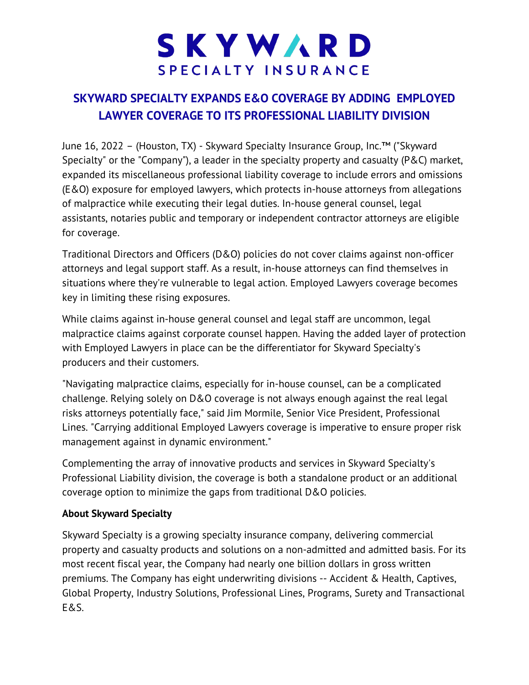## SKYWARD SPECIALTY INSURANCE

## **SKYWARD SPECIALTY EXPANDS E&O COVERAGE BY ADDING EMPLOYED LAWYER COVERAGE TO ITS PROFESSIONAL LIABILITY DIVISION**

June 16, 2022 – (Houston, TX) - Skyward Specialty Insurance Group, Inc.™ ("Skyward Specialty" or the "Company"), a leader in the specialty property and casualty (P&C) market, expanded its miscellaneous professional liability coverage to include errors and omissions (E&O) exposure for employed lawyers, which protects in-house attorneys from allegations of malpractice while executing their legal duties. In-house general counsel, legal assistants, notaries public and temporary or independent contractor attorneys are eligible for coverage.

Traditional Directors and Officers (D&O) policies do not cover claims against non-officer attorneys and legal support staff. As a result, in-house attorneys can find themselves in situations where they're vulnerable to legal action. Employed Lawyers coverage becomes key in limiting these rising exposures.

While claims against in-house general counsel and legal staff are uncommon, legal malpractice claims against corporate counsel happen. Having the added layer of protection with Employed Lawyers in place can be the differentiator for Skyward Specialty's producers and their customers.

"Navigating malpractice claims, especially for in-house counsel, can be a complicated challenge. Relying solely on D&O coverage is not always enough against the real legal risks attorneys potentially face," said Jim Mormile, Senior Vice President, Professional Lines. "Carrying additional Employed Lawyers coverage is imperative to ensure proper risk management against in dynamic environment."

Complementing the array of innovative products and services in Skyward Specialty's Professional Liability division, the coverage is both a standalone product or an additional coverage option to minimize the gaps from traditional D&O policies.

## **About Skyward Specialty**

Skyward Specialty is a growing specialty insurance company, delivering commercial property and casualty products and solutions on a non-admitted and admitted basis. For its most recent fiscal year, the Company had nearly one billion dollars in gross written premiums. The Company has eight underwriting divisions -- Accident & Health, Captives, Global Property, Industry Solutions, Professional Lines, Programs, Surety and Transactional E&S.